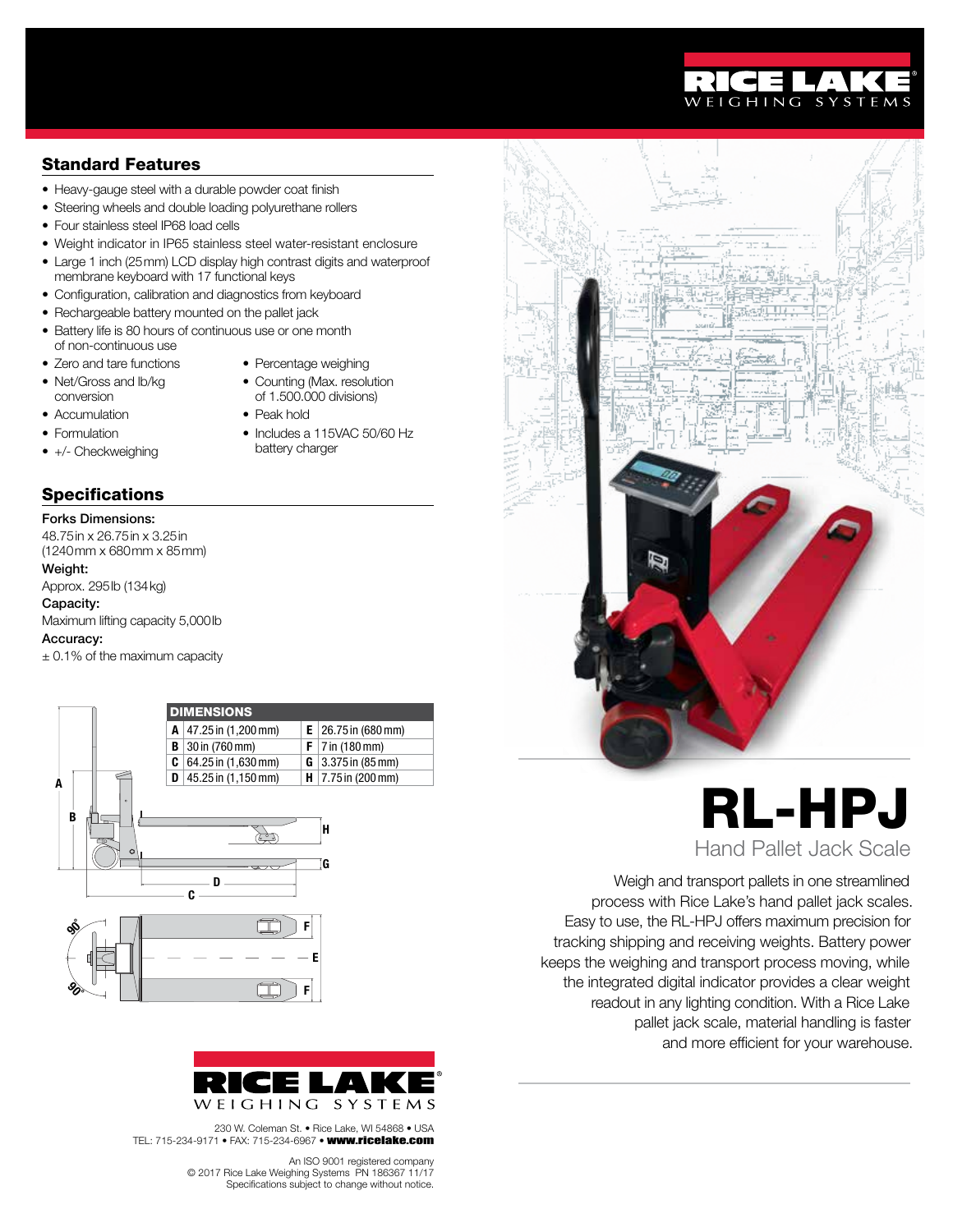# Standard Features

- Heavy-gauge steel with a durable powder coat finish
- Steering wheels and double loading polyurethane rollers
- Four stainless steel IP68 load cells
- Weight indicator in IP65 stainless steel water-resistant enclosure
- Large 1 inch (25mm) LCD display high contrast digits and waterproof membrane keyboard with 17 functional keys
- Configuration, calibration and diagnostics from keyboard
- Rechargeable battery mounted on the pallet jack
- Battery life is 80 hours of continuous use or one month of non-continuous use
- Zero and tare functions
- Percentage weighing • Counting (Max. resolution
- Net/Gross and lb/kg conversion
- of 1.500.000 divisions) • Peak hold

battery charger

- Accumulation • Formulation
- Includes a 115VAC 50/60 Hz
- 
- +/- Checkweighing

# **Specifications**

### Forks Dimensions:

48.75in x 26.75in x 3.25in (1240mm x 680mm x 85mm)

# Weight:

Approx. 295lb (134kg)

## Capacity:

Maximum lifting capacity 5,000lb

#### Accuracy:

± 0.1% of the maximum capacity





230 W. Coleman St. • Rice Lake, WI 54868 • USA TEL: 715-234-9171 • FAX: 715-234-6967 • www.ricelake.com

> An ISO 9001 registered company<br>© 2017 Rice Lake Weighing Systems PN 186367 11/17 Specifications subject to change without notice.



# RL-HPJ Hand Pallet Jack Scale

Weigh and transport pallets in one streamlined process with Rice Lake's hand pallet jack scales. Easy to use, the RL-HPJ offers maximum precision for tracking shipping and receiving weights. Battery power keeps the weighing and transport process moving, while the integrated digital indicator provides a clear weight readout in any lighting condition. With a Rice Lake pallet jack scale, material handling is faster and more efficient for your warehouse.